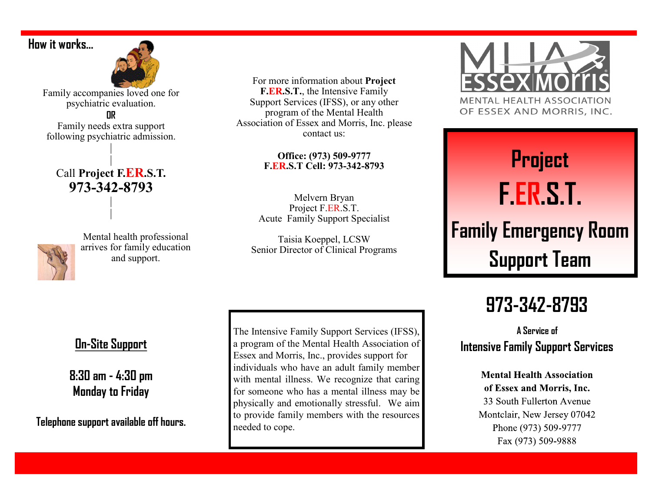### **How it works…**



Family accompanies loved one for psychiatric evaluation.

**OR**

Family needs extra support following psychiatric admission.

|

### | Call **Project F.ER.S.T. 973-342-8793** |

|



Mental health professional arrives for family education and support.

For more information about **Project F.ER.S.T.**, the Intensive Family Support Services (IFSS), or any other program of the Mental Health Association of Essex and Morris, Inc. please contact us:

### **Office: (973) 509-9777 F.ER.S.T Cell: 973-342-8793**

Melvern Bryan Project F.ER.S.T. Acute Family Support Specialist

Taisia Koeppel, LCSW Senior Director of Clinical Programs

The Intensive Family Support Services (IFSS), a program of the Mental Health Association of Essex and Morris, Inc., provides support for individuals who have an adult family member with mental illness. We recognize that caring for someone who has a mental illness may be physically and emotionally stressful. We aim to provide family members with the resources needed to cope.



OF ESSEX AND MORRIS, INC.

# **Project F.ER.S.T. Family Emergency Room Support Team**

# **973-342-8793**

**A Service of Intensive Family Support Services**

> **Mental Health Association** of Essex and Morris, Inc. 33 South Fullerton Avenue Montclair, New Jersey 07042 Phone (973) 509-9777 Fax (973) 509-9888

## **On-Site Support**

**8:30 am - 4:30 pm Monday to Friday** 

**Telephone support available off hours.**